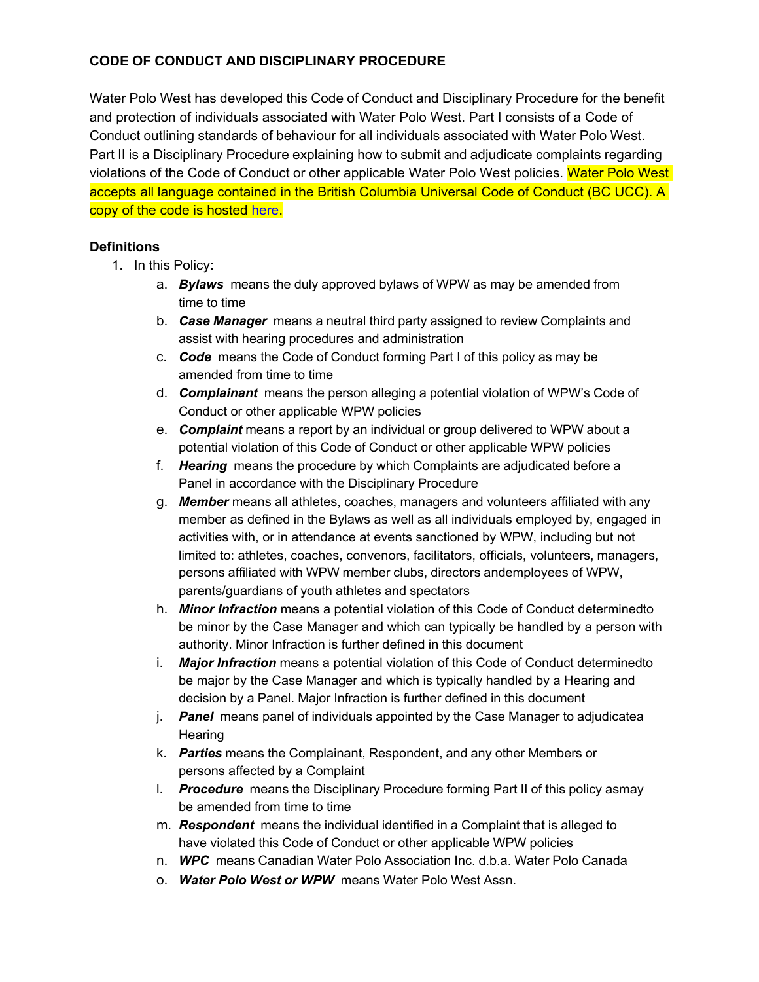## **CODE OF CONDUCT AND DISCIPLINARY PROCEDURE**

Water Polo West has developed this Code of Conduct and Disciplinary Procedure for the benefit and protection of individuals associated with Water Polo West. Part I consists of a Code of Conduct outlining standards of behaviour for all individuals associated with Water Polo West. Part II is a Disciplinary Procedure explaining how to submit and adjudicate complaints regarding violations of the Code of Conduct or other applicable Water Polo West policies. Water Polo West accepts all language contained in the British Columbia Universal Code of Conduct (BC UCC). A copy of the code is hosted here.

### **Definitions**

- 1. In this Policy:
	- a. *Bylaws* means the duly approved bylaws of WPW as may be amended from time to time
	- b. *Case Manager* means a neutral third party assigned to review Complaints and assist with hearing procedures and administration
	- c. *Code* means the Code of Conduct forming Part I of this policy as may be amended from time to time
	- d. *Complainant* means the person alleging a potential violation of WPW's Code of Conduct or other applicable WPW policies
	- e. *Complaint* means a report by an individual or group delivered to WPW about a potential violation of this Code of Conduct or other applicable WPW policies
	- f. *Hearing* means the procedure by which Complaints are adjudicated before a Panel in accordance with the Disciplinary Procedure
	- g. *Member* means all athletes, coaches, managers and volunteers affiliated with any member as defined in the Bylaws as well as all individuals employed by, engaged in activities with, or in attendance at events sanctioned by WPW, including but not limited to: athletes, coaches, convenors, facilitators, officials, volunteers, managers, persons affiliated with WPW member clubs, directors andemployees of WPW, parents/guardians of youth athletes and spectators
	- h. *Minor Infraction* means a potential violation of this Code of Conduct determinedto be minor by the Case Manager and which can typically be handled by a person with authority. Minor Infraction is further defined in this document
	- i. *Major Infraction* means a potential violation of this Code of Conduct determinedto be major by the Case Manager and which is typically handled by a Hearing and decision by a Panel. Major Infraction is further defined in this document
	- j. *Panel* means panel of individuals appointed by the Case Manager to adjudicatea **Hearing**
	- k. *Parties* means the Complainant, Respondent, and any other Members or persons affected by a Complaint
	- l. *Procedure* means the Disciplinary Procedure forming Part II of this policy asmay be amended from time to time
	- m. *Respondent* means the individual identified in a Complaint that is alleged to have violated this Code of Conduct or other applicable WPW policies
	- n. *WPC* means Canadian Water Polo Association Inc. d.b.a. Water Polo Canada
	- o. *Water Polo West or WPW* means Water Polo West Assn.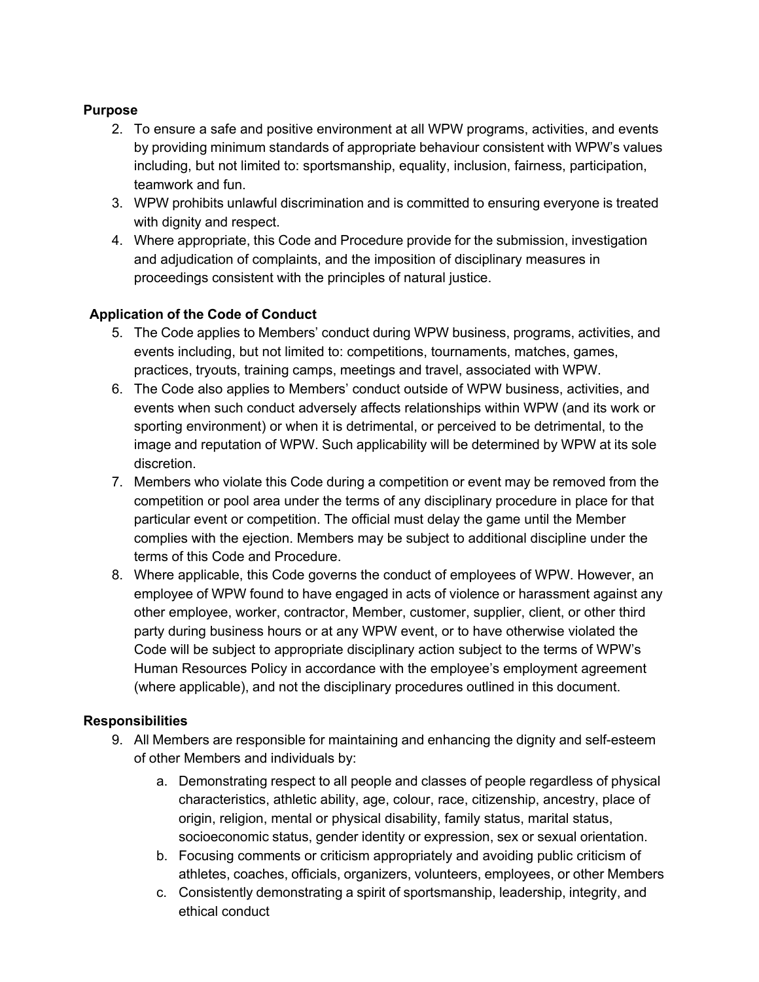### **Purpose**

- 2. To ensure a safe and positive environment at all WPW programs, activities, and events by providing minimum standards of appropriate behaviour consistent with WPW's values including, but not limited to: sportsmanship, equality, inclusion, fairness, participation, teamwork and fun.
- 3. WPW prohibits unlawful discrimination and is committed to ensuring everyone is treated with dignity and respect.
- 4. Where appropriate, this Code and Procedure provide for the submission, investigation and adjudication of complaints, and the imposition of disciplinary measures in proceedings consistent with the principles of natural justice.

## **Application of the Code of Conduct**

- 5. The Code applies to Members' conduct during WPW business, programs, activities, and events including, but not limited to: competitions, tournaments, matches, games, practices, tryouts, training camps, meetings and travel, associated with WPW.
- 6. The Code also applies to Members' conduct outside of WPW business, activities, and events when such conduct adversely affects relationships within WPW (and its work or sporting environment) or when it is detrimental, or perceived to be detrimental, to the image and reputation of WPW. Such applicability will be determined by WPW at its sole discretion.
- 7. Members who violate this Code during a competition or event may be removed from the competition or pool area under the terms of any disciplinary procedure in place for that particular event or competition. The official must delay the game until the Member complies with the ejection. Members may be subject to additional discipline under the terms of this Code and Procedure.
- 8. Where applicable, this Code governs the conduct of employees of WPW. However, an employee of WPW found to have engaged in acts of violence or harassment against any other employee, worker, contractor, Member, customer, supplier, client, or other third party during business hours or at any WPW event, or to have otherwise violated the Code will be subject to appropriate disciplinary action subject to the terms of WPW's Human Resources Policy in accordance with the employee's employment agreement (where applicable), and not the disciplinary procedures outlined in this document.

## **Responsibilities**

- 9. All Members are responsible for maintaining and enhancing the dignity and self-esteem of other Members and individuals by:
	- a. Demonstrating respect to all people and classes of people regardless of physical characteristics, athletic ability, age, colour, race, citizenship, ancestry, place of origin, religion, mental or physical disability, family status, marital status, socioeconomic status, gender identity or expression, sex or sexual orientation.
	- b. Focusing comments or criticism appropriately and avoiding public criticism of athletes, coaches, officials, organizers, volunteers, employees, or other Members
	- c. Consistently demonstrating a spirit of sportsmanship, leadership, integrity, and ethical conduct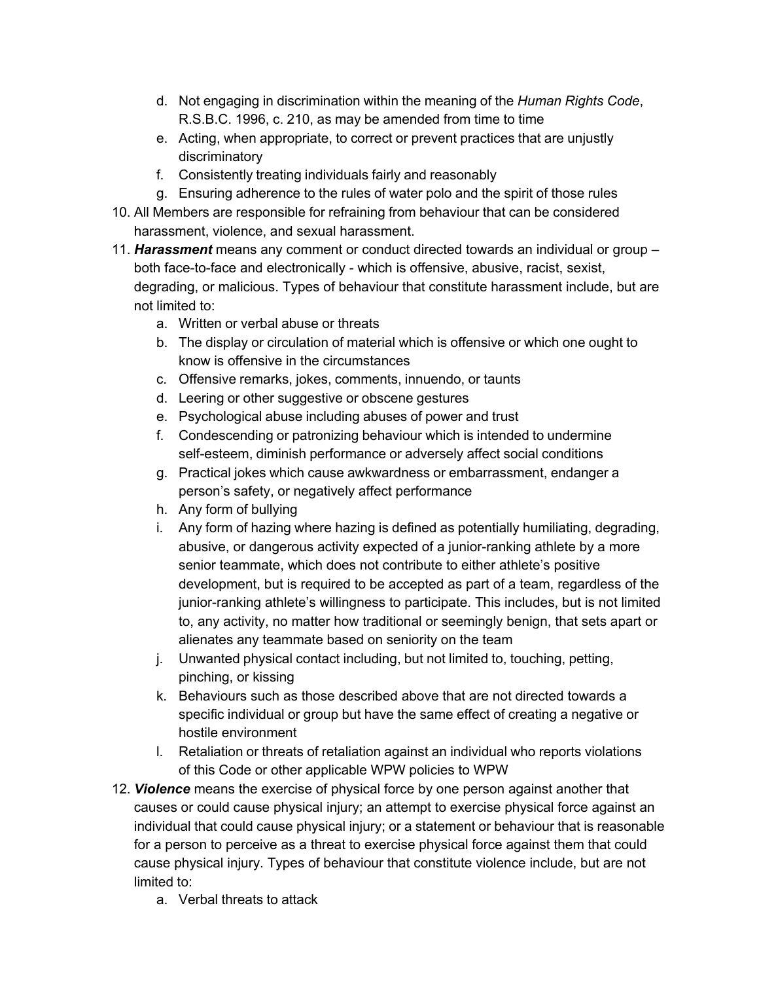- d. Not engaging in discrimination within the meaning of the *Human Rights Code*, R.S.B.C. 1996, c. 210, as may be amended from time to time
- e. Acting, when appropriate, to correct or prevent practices that are unjustly discriminatory
- f. Consistently treating individuals fairly and reasonably
- g. Ensuring adherence to the rules of water polo and the spirit of those rules
- 10. All Members are responsible for refraining from behaviour that can be considered harassment, violence, and sexual harassment.
- 11. *Harassment* means any comment or conduct directed towards an individual or group both face-to-face and electronically - which is offensive, abusive, racist, sexist, degrading, or malicious. Types of behaviour that constitute harassment include, but are not limited to:
	- a. Written or verbal abuse or threats
	- b. The display or circulation of material which is offensive or which one ought to know is offensive in the circumstances
	- c. Offensive remarks, jokes, comments, innuendo, or taunts
	- d. Leering or other suggestive or obscene gestures
	- e. Psychological abuse including abuses of power and trust
	- f. Condescending or patronizing behaviour which is intended to undermine self-esteem, diminish performance or adversely affect social conditions
	- g. Practical jokes which cause awkwardness or embarrassment, endanger a person's safety, or negatively affect performance
	- h. Any form of bullying
	- i. Any form of hazing where hazing is defined as potentially humiliating, degrading, abusive, or dangerous activity expected of a junior-ranking athlete by a more senior teammate, which does not contribute to either athlete's positive development, but is required to be accepted as part of a team, regardless of the junior-ranking athlete's willingness to participate. This includes, but is not limited to, any activity, no matter how traditional or seemingly benign, that sets apart or alienates any teammate based on seniority on the team
	- j. Unwanted physical contact including, but not limited to, touching, petting, pinching, or kissing
	- k. Behaviours such as those described above that are not directed towards a specific individual or group but have the same effect of creating a negative or hostile environment
	- l. Retaliation or threats of retaliation against an individual who reports violations of this Code or other applicable WPW policies to WPW
- 12. *Violence* means the exercise of physical force by one person against another that causes or could cause physical injury; an attempt to exercise physical force against an individual that could cause physical injury; or a statement or behaviour that is reasonable for a person to perceive as a threat to exercise physical force against them that could cause physical injury. Types of behaviour that constitute violence include, but are not limited to:
	- a. Verbal threats to attack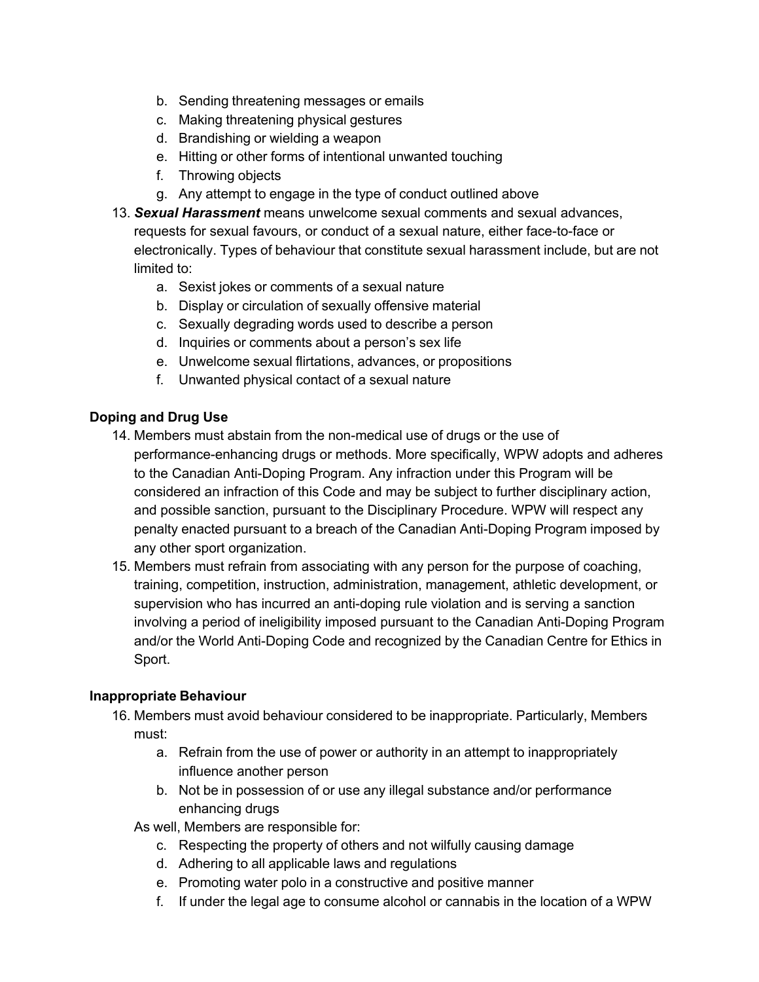- b. Sending threatening messages or emails
- c. Making threatening physical gestures
- d. Brandishing or wielding a weapon
- e. Hitting or other forms of intentional unwanted touching
- f. Throwing objects
- g. Any attempt to engage in the type of conduct outlined above
- 13. *Sexual Harassment* means unwelcome sexual comments and sexual advances, requests for sexual favours, or conduct of a sexual nature, either face-to-face or electronically. Types of behaviour that constitute sexual harassment include, but are not limited to:
	- a. Sexist jokes or comments of a sexual nature
	- b. Display or circulation of sexually offensive material
	- c. Sexually degrading words used to describe a person
	- d. Inquiries or comments about a person's sex life
	- e. Unwelcome sexual flirtations, advances, or propositions
	- f. Unwanted physical contact of a sexual nature

## **Doping and Drug Use**

- 14. Members must abstain from the non-medical use of drugs or the use of performance-enhancing drugs or methods. More specifically, WPW adopts and adheres to the Canadian Anti-Doping Program. Any infraction under this Program will be considered an infraction of this Code and may be subject to further disciplinary action, and possible sanction, pursuant to the Disciplinary Procedure. WPW will respect any penalty enacted pursuant to a breach of the Canadian Anti-Doping Program imposed by any other sport organization.
- 15. Members must refrain from associating with any person for the purpose of coaching, training, competition, instruction, administration, management, athletic development, or supervision who has incurred an anti-doping rule violation and is serving a sanction involving a period of ineligibility imposed pursuant to the Canadian Anti-Doping Program and/or the World Anti-Doping Code and recognized by the Canadian Centre for Ethics in Sport.

## **Inappropriate Behaviour**

- 16. Members must avoid behaviour considered to be inappropriate. Particularly, Members must:
	- a. Refrain from the use of power or authority in an attempt to inappropriately influence another person
	- b. Not be in possession of or use any illegal substance and/or performance enhancing drugs
	- As well, Members are responsible for:
		- c. Respecting the property of others and not wilfully causing damage
		- d. Adhering to all applicable laws and regulations
		- e. Promoting water polo in a constructive and positive manner
		- f. If under the legal age to consume alcohol or cannabis in the location of a WPW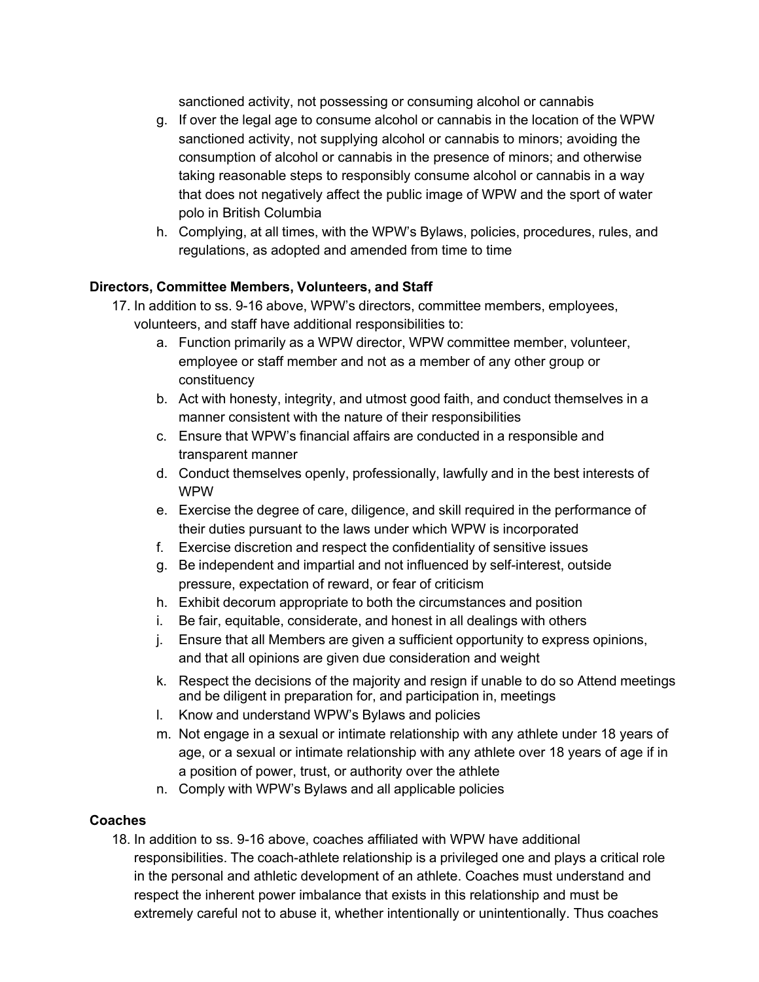sanctioned activity, not possessing or consuming alcohol or cannabis

- g. If over the legal age to consume alcohol or cannabis in the location of the WPW sanctioned activity, not supplying alcohol or cannabis to minors; avoiding the consumption of alcohol or cannabis in the presence of minors; and otherwise taking reasonable steps to responsibly consume alcohol or cannabis in a way that does not negatively affect the public image of WPW and the sport of water polo in British Columbia
- h. Complying, at all times, with the WPW's Bylaws, policies, procedures, rules, and regulations, as adopted and amended from time to time

### **Directors, Committee Members, Volunteers, and Staff**

- 17. In addition to ss. 9-16 above, WPW's directors, committee members, employees, volunteers, and staff have additional responsibilities to:
	- a. Function primarily as a WPW director, WPW committee member, volunteer, employee or staff member and not as a member of any other group or constituency
	- b. Act with honesty, integrity, and utmost good faith, and conduct themselves in a manner consistent with the nature of their responsibilities
	- c. Ensure that WPW's financial affairs are conducted in a responsible and transparent manner
	- d. Conduct themselves openly, professionally, lawfully and in the best interests of WPW
	- e. Exercise the degree of care, diligence, and skill required in the performance of their duties pursuant to the laws under which WPW is incorporated
	- f. Exercise discretion and respect the confidentiality of sensitive issues
	- g. Be independent and impartial and not influenced by self-interest, outside pressure, expectation of reward, or fear of criticism
	- h. Exhibit decorum appropriate to both the circumstances and position
	- i. Be fair, equitable, considerate, and honest in all dealings with others
	- j. Ensure that all Members are given a sufficient opportunity to express opinions, and that all opinions are given due consideration and weight
	- k. Respect the decisions of the majority and resign if unable to do so Attend meetings and be diligent in preparation for, and participation in, meetings
	- l. Know and understand WPW's Bylaws and policies
	- m. Not engage in a sexual or intimate relationship with any athlete under 18 years of age, or a sexual or intimate relationship with any athlete over 18 years of age if in a position of power, trust, or authority over the athlete
	- n. Comply with WPW's Bylaws and all applicable policies

#### **Coaches**

18. In addition to ss. 9-16 above, coaches affiliated with WPW have additional responsibilities. The coach-athlete relationship is a privileged one and plays a critical role in the personal and athletic development of an athlete. Coaches must understand and respect the inherent power imbalance that exists in this relationship and must be extremely careful not to abuse it, whether intentionally or unintentionally. Thus coaches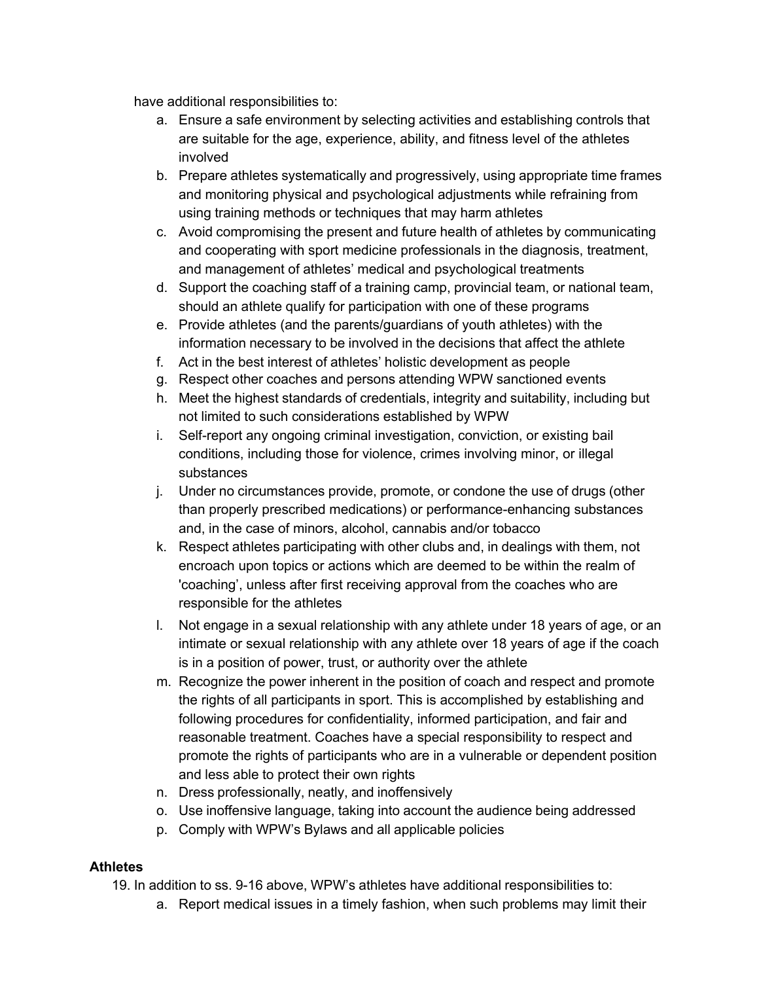have additional responsibilities to:

- a. Ensure a safe environment by selecting activities and establishing controls that are suitable for the age, experience, ability, and fitness level of the athletes involved
- b. Prepare athletes systematically and progressively, using appropriate time frames and monitoring physical and psychological adjustments while refraining from using training methods or techniques that may harm athletes
- c. Avoid compromising the present and future health of athletes by communicating and cooperating with sport medicine professionals in the diagnosis, treatment, and management of athletes' medical and psychological treatments
- d. Support the coaching staff of a training camp, provincial team, or national team, should an athlete qualify for participation with one of these programs
- e. Provide athletes (and the parents/guardians of youth athletes) with the information necessary to be involved in the decisions that affect the athlete
- f. Act in the best interest of athletes' holistic development as people
- g. Respect other coaches and persons attending WPW sanctioned events
- h. Meet the highest standards of credentials, integrity and suitability, including but not limited to such considerations established by WPW
- i. Self-report any ongoing criminal investigation, conviction, or existing bail conditions, including those for violence, crimes involving minor, or illegal substances
- j. Under no circumstances provide, promote, or condone the use of drugs (other than properly prescribed medications) or performance-enhancing substances and, in the case of minors, alcohol, cannabis and/or tobacco
- k. Respect athletes participating with other clubs and, in dealings with them, not encroach upon topics or actions which are deemed to be within the realm of 'coaching', unless after first receiving approval from the coaches who are responsible for the athletes
- l. Not engage in a sexual relationship with any athlete under 18 years of age, or an intimate or sexual relationship with any athlete over 18 years of age if the coach is in a position of power, trust, or authority over the athlete
- m. Recognize the power inherent in the position of coach and respect and promote the rights of all participants in sport. This is accomplished by establishing and following procedures for confidentiality, informed participation, and fair and reasonable treatment. Coaches have a special responsibility to respect and promote the rights of participants who are in a vulnerable or dependent position and less able to protect their own rights
- n. Dress professionally, neatly, and inoffensively
- o. Use inoffensive language, taking into account the audience being addressed
- p. Comply with WPW's Bylaws and all applicable policies

## **Athletes**

19. In addition to ss. 9-16 above, WPW's athletes have additional responsibilities to:

a. Report medical issues in a timely fashion, when such problems may limit their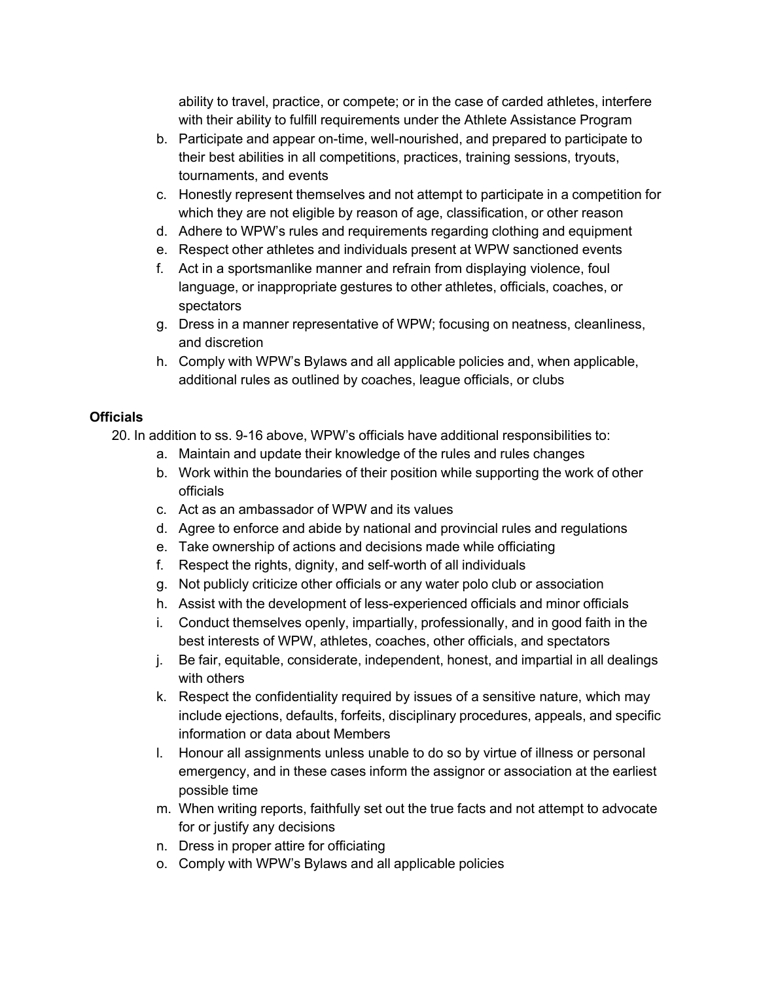ability to travel, practice, or compete; or in the case of carded athletes, interfere with their ability to fulfill requirements under the Athlete Assistance Program

- b. Participate and appear on-time, well-nourished, and prepared to participate to their best abilities in all competitions, practices, training sessions, tryouts, tournaments, and events
- c. Honestly represent themselves and not attempt to participate in a competition for which they are not eligible by reason of age, classification, or other reason
- d. Adhere to WPW's rules and requirements regarding clothing and equipment
- e. Respect other athletes and individuals present at WPW sanctioned events
- f. Act in a sportsmanlike manner and refrain from displaying violence, foul language, or inappropriate gestures to other athletes, officials, coaches, or spectators
- g. Dress in a manner representative of WPW; focusing on neatness, cleanliness, and discretion
- h. Comply with WPW's Bylaws and all applicable policies and, when applicable, additional rules as outlined by coaches, league officials, or clubs

#### **Officials**

20. In addition to ss. 9-16 above, WPW's officials have additional responsibilities to:

- a. Maintain and update their knowledge of the rules and rules changes
- b. Work within the boundaries of their position while supporting the work of other officials
- c. Act as an ambassador of WPW and its values
- d. Agree to enforce and abide by national and provincial rules and regulations
- e. Take ownership of actions and decisions made while officiating
- f. Respect the rights, dignity, and self-worth of all individuals
- g. Not publicly criticize other officials or any water polo club or association
- h. Assist with the development of less-experienced officials and minor officials
- i. Conduct themselves openly, impartially, professionally, and in good faith in the best interests of WPW, athletes, coaches, other officials, and spectators
- j. Be fair, equitable, considerate, independent, honest, and impartial in all dealings with others
- k. Respect the confidentiality required by issues of a sensitive nature, which may include ejections, defaults, forfeits, disciplinary procedures, appeals, and specific information or data about Members
- l. Honour all assignments unless unable to do so by virtue of illness or personal emergency, and in these cases inform the assignor or association at the earliest possible time
- m. When writing reports, faithfully set out the true facts and not attempt to advocate for or justify any decisions
- n. Dress in proper attire for officiating
- o. Comply with WPW's Bylaws and all applicable policies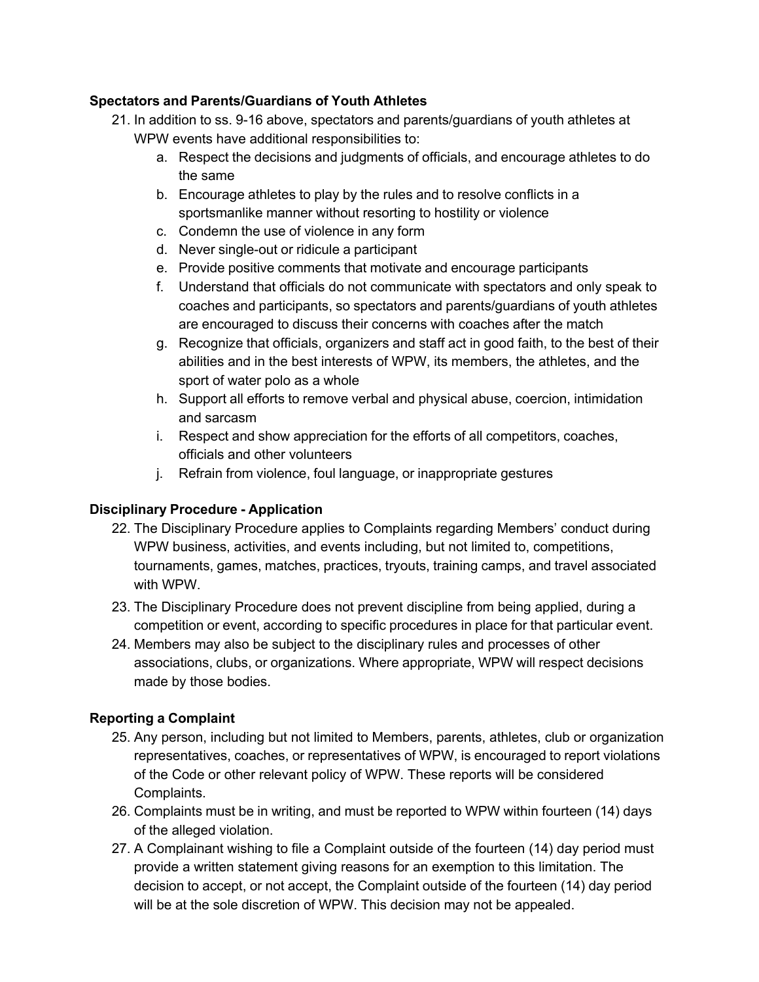## **Spectators and Parents/Guardians of Youth Athletes**

- 21. In addition to ss. 9-16 above, spectators and parents/guardians of youth athletes at WPW events have additional responsibilities to:
	- a. Respect the decisions and judgments of officials, and encourage athletes to do the same
	- b. Encourage athletes to play by the rules and to resolve conflicts in a sportsmanlike manner without resorting to hostility or violence
	- c. Condemn the use of violence in any form
	- d. Never single-out or ridicule a participant
	- e. Provide positive comments that motivate and encourage participants
	- f. Understand that officials do not communicate with spectators and only speak to coaches and participants, so spectators and parents/guardians of youth athletes are encouraged to discuss their concerns with coaches after the match
	- g. Recognize that officials, organizers and staff act in good faith, to the best of their abilities and in the best interests of WPW, its members, the athletes, and the sport of water polo as a whole
	- h. Support all efforts to remove verbal and physical abuse, coercion, intimidation and sarcasm
	- i. Respect and show appreciation for the efforts of all competitors, coaches, officials and other volunteers
	- j. Refrain from violence, foul language, or inappropriate gestures

# **Disciplinary Procedure - Application**

- 22. The Disciplinary Procedure applies to Complaints regarding Members' conduct during WPW business, activities, and events including, but not limited to, competitions, tournaments, games, matches, practices, tryouts, training camps, and travel associated with WPW.
- 23. The Disciplinary Procedure does not prevent discipline from being applied, during a competition or event, according to specific procedures in place for that particular event.
- 24. Members may also be subject to the disciplinary rules and processes of other associations, clubs, or organizations. Where appropriate, WPW will respect decisions made by those bodies.

# **Reporting a Complaint**

- 25. Any person, including but not limited to Members, parents, athletes, club or organization representatives, coaches, or representatives of WPW, is encouraged to report violations of the Code or other relevant policy of WPW. These reports will be considered Complaints.
- 26. Complaints must be in writing, and must be reported to WPW within fourteen (14) days of the alleged violation.
- 27. A Complainant wishing to file a Complaint outside of the fourteen (14) day period must provide a written statement giving reasons for an exemption to this limitation. The decision to accept, or not accept, the Complaint outside of the fourteen (14) day period will be at the sole discretion of WPW. This decision may not be appealed.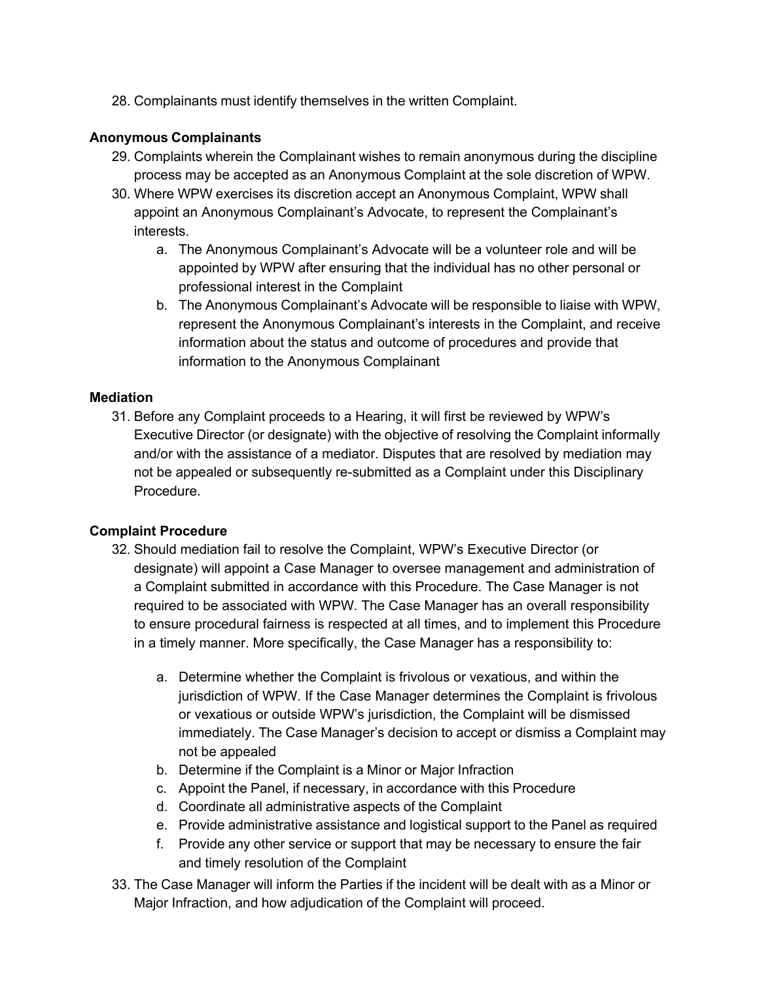28. Complainants must identify themselves in the written Complaint.

### **Anonymous Complainants**

- 29. Complaints wherein the Complainant wishes to remain anonymous during the discipline process may be accepted as an Anonymous Complaint at the sole discretion of WPW.
- 30. Where WPW exercises its discretion accept an Anonymous Complaint, WPW shall appoint an Anonymous Complainant's Advocate, to represent the Complainant's interests.
	- a. The Anonymous Complainant's Advocate will be a volunteer role and will be appointed by WPW after ensuring that the individual has no other personal or professional interest in the Complaint
	- b. The Anonymous Complainant's Advocate will be responsible to liaise with WPW, represent the Anonymous Complainant's interests in the Complaint, and receive information about the status and outcome of procedures and provide that information to the Anonymous Complainant

### **Mediation**

31. Before any Complaint proceeds to a Hearing, it will first be reviewed by WPW's Executive Director (or designate) with the objective of resolving the Complaint informally and/or with the assistance of a mediator. Disputes that are resolved by mediation may not be appealed or subsequently re-submitted as a Complaint under this Disciplinary Procedure.

#### **Complaint Procedure**

- 32. Should mediation fail to resolve the Complaint, WPW's Executive Director (or designate) will appoint a Case Manager to oversee management and administration of a Complaint submitted in accordance with this Procedure. The Case Manager is not required to be associated with WPW. The Case Manager has an overall responsibility to ensure procedural fairness is respected at all times, and to implement this Procedure in a timely manner. More specifically, the Case Manager has a responsibility to:
	- a. Determine whether the Complaint is frivolous or vexatious, and within the jurisdiction of WPW. If the Case Manager determines the Complaint is frivolous or vexatious or outside WPW's jurisdiction, the Complaint will be dismissed immediately. The Case Manager's decision to accept or dismiss a Complaint may not be appealed
	- b. Determine if the Complaint is a Minor or Major Infraction
	- c. Appoint the Panel, if necessary, in accordance with this Procedure
	- d. Coordinate all administrative aspects of the Complaint
	- e. Provide administrative assistance and logistical support to the Panel as required
	- f. Provide any other service or support that may be necessary to ensure the fair and timely resolution of the Complaint
- 33. The Case Manager will inform the Parties if the incident will be dealt with as a Minor or Major Infraction, and how adjudication of the Complaint will proceed.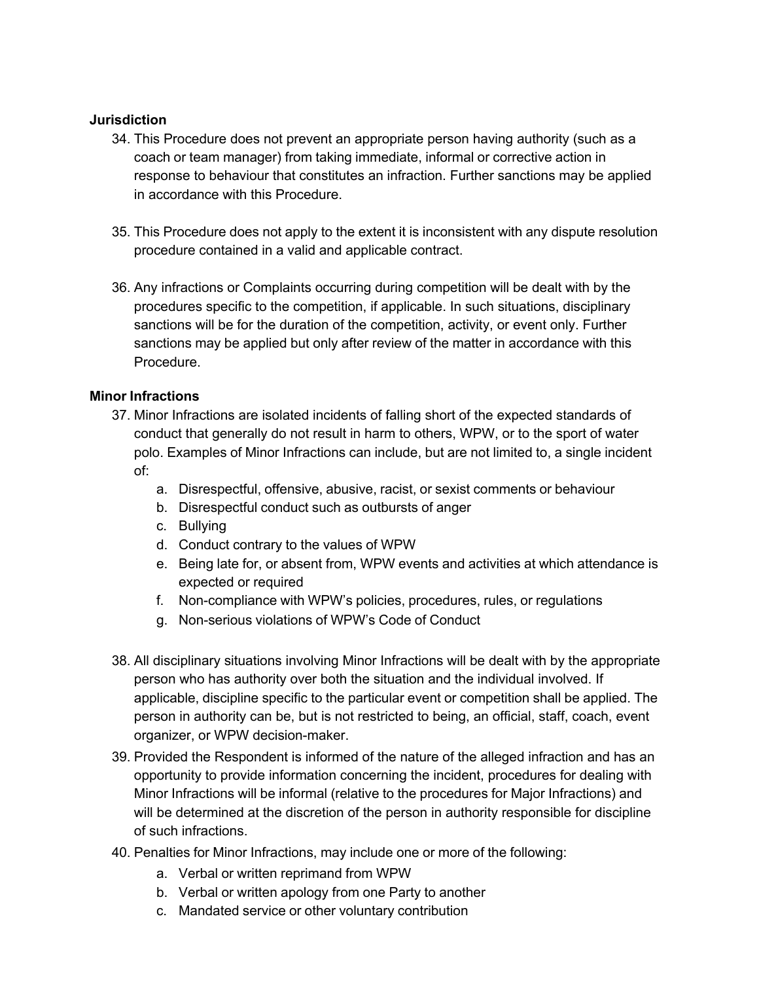### **Jurisdiction**

- 34. This Procedure does not prevent an appropriate person having authority (such as a coach or team manager) from taking immediate, informal or corrective action in response to behaviour that constitutes an infraction. Further sanctions may be applied in accordance with this Procedure.
- 35. This Procedure does not apply to the extent it is inconsistent with any dispute resolution procedure contained in a valid and applicable contract.
- 36. Any infractions or Complaints occurring during competition will be dealt with by the procedures specific to the competition, if applicable. In such situations, disciplinary sanctions will be for the duration of the competition, activity, or event only. Further sanctions may be applied but only after review of the matter in accordance with this Procedure.

## **Minor Infractions**

- 37. Minor Infractions are isolated incidents of falling short of the expected standards of conduct that generally do not result in harm to others, WPW, or to the sport of water polo. Examples of Minor Infractions can include, but are not limited to, a single incident of:
	- a. Disrespectful, offensive, abusive, racist, or sexist comments or behaviour
	- b. Disrespectful conduct such as outbursts of anger
	- c. Bullying
	- d. Conduct contrary to the values of WPW
	- e. Being late for, or absent from, WPW events and activities at which attendance is expected or required
	- f. Non-compliance with WPW's policies, procedures, rules, or regulations
	- g. Non-serious violations of WPW's Code of Conduct
- 38. All disciplinary situations involving Minor Infractions will be dealt with by the appropriate person who has authority over both the situation and the individual involved. If applicable, discipline specific to the particular event or competition shall be applied. The person in authority can be, but is not restricted to being, an official, staff, coach, event organizer, or WPW decision-maker.
- 39. Provided the Respondent is informed of the nature of the alleged infraction and has an opportunity to provide information concerning the incident, procedures for dealing with Minor Infractions will be informal (relative to the procedures for Major Infractions) and will be determined at the discretion of the person in authority responsible for discipline of such infractions.
- 40. Penalties for Minor Infractions, may include one or more of the following:
	- a. Verbal or written reprimand from WPW
	- b. Verbal or written apology from one Party to another
	- c. Mandated service or other voluntary contribution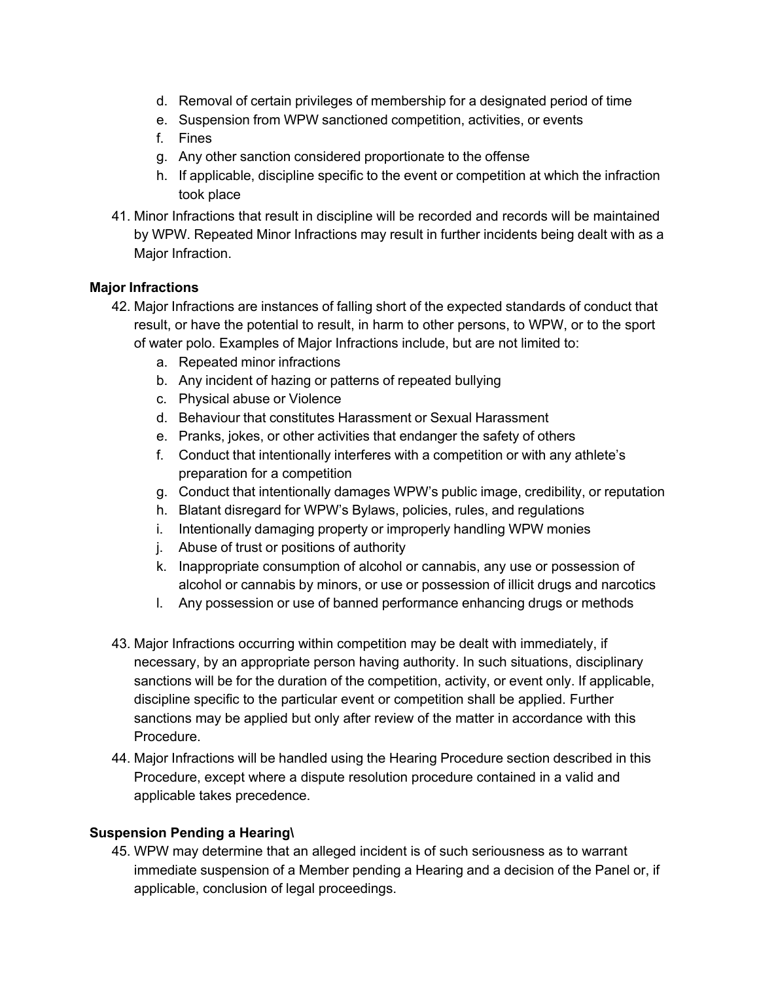- d. Removal of certain privileges of membership for a designated period of time
- e. Suspension from WPW sanctioned competition, activities, or events
- f. Fines
- g. Any other sanction considered proportionate to the offense
- h. If applicable, discipline specific to the event or competition at which the infraction took place
- 41. Minor Infractions that result in discipline will be recorded and records will be maintained by WPW. Repeated Minor Infractions may result in further incidents being dealt with as a Major Infraction.

#### **Major Infractions**

- 42. Major Infractions are instances of falling short of the expected standards of conduct that result, or have the potential to result, in harm to other persons, to WPW, or to the sport of water polo. Examples of Major Infractions include, but are not limited to:
	- a. Repeated minor infractions
	- b. Any incident of hazing or patterns of repeated bullying
	- c. Physical abuse or Violence
	- d. Behaviour that constitutes Harassment or Sexual Harassment
	- e. Pranks, jokes, or other activities that endanger the safety of others
	- f. Conduct that intentionally interferes with a competition or with any athlete's preparation for a competition
	- g. Conduct that intentionally damages WPW's public image, credibility, or reputation
	- h. Blatant disregard for WPW's Bylaws, policies, rules, and regulations
	- i. Intentionally damaging property or improperly handling WPW monies
	- j. Abuse of trust or positions of authority
	- k. Inappropriate consumption of alcohol or cannabis, any use or possession of alcohol or cannabis by minors, or use or possession of illicit drugs and narcotics
	- l. Any possession or use of banned performance enhancing drugs or methods
- 43. Major Infractions occurring within competition may be dealt with immediately, if necessary, by an appropriate person having authority. In such situations, disciplinary sanctions will be for the duration of the competition, activity, or event only. If applicable, discipline specific to the particular event or competition shall be applied. Further sanctions may be applied but only after review of the matter in accordance with this Procedure.
- 44. Major Infractions will be handled using the Hearing Procedure section described in this Procedure, except where a dispute resolution procedure contained in a valid and applicable takes precedence.

## **Suspension Pending a Hearing\**

45. WPW may determine that an alleged incident is of such seriousness as to warrant immediate suspension of a Member pending a Hearing and a decision of the Panel or, if applicable, conclusion of legal proceedings.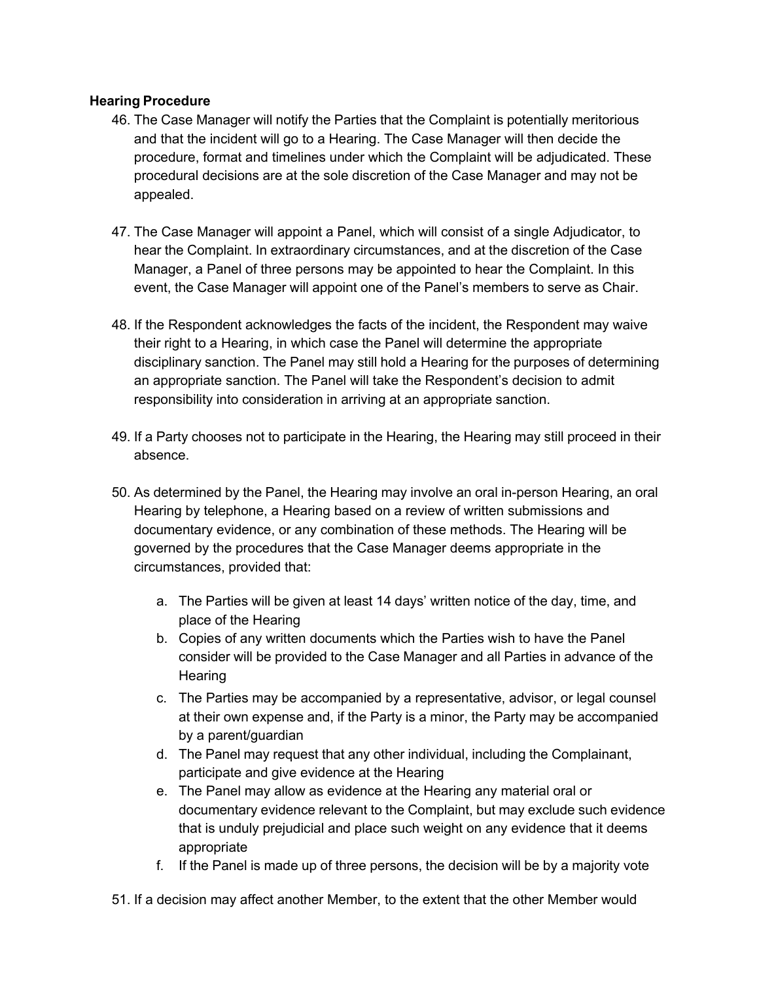### **Hearing Procedure**

- 46. The Case Manager will notify the Parties that the Complaint is potentially meritorious and that the incident will go to a Hearing. The Case Manager will then decide the procedure, format and timelines under which the Complaint will be adjudicated. These procedural decisions are at the sole discretion of the Case Manager and may not be appealed.
- 47. The Case Manager will appoint a Panel, which will consist of a single Adjudicator, to hear the Complaint. In extraordinary circumstances, and at the discretion of the Case Manager, a Panel of three persons may be appointed to hear the Complaint. In this event, the Case Manager will appoint one of the Panel's members to serve as Chair.
- 48. If the Respondent acknowledges the facts of the incident, the Respondent may waive their right to a Hearing, in which case the Panel will determine the appropriate disciplinary sanction. The Panel may still hold a Hearing for the purposes of determining an appropriate sanction. The Panel will take the Respondent's decision to admit responsibility into consideration in arriving at an appropriate sanction.
- 49. If a Party chooses not to participate in the Hearing, the Hearing may still proceed in their absence.
- 50. As determined by the Panel, the Hearing may involve an oral in-person Hearing, an oral Hearing by telephone, a Hearing based on a review of written submissions and documentary evidence, or any combination of these methods. The Hearing will be governed by the procedures that the Case Manager deems appropriate in the circumstances, provided that:
	- a. The Parties will be given at least 14 days' written notice of the day, time, and place of the Hearing
	- b. Copies of any written documents which the Parties wish to have the Panel consider will be provided to the Case Manager and all Parties in advance of the **Hearing**
	- c. The Parties may be accompanied by a representative, advisor, or legal counsel at their own expense and, if the Party is a minor, the Party may be accompanied by a parent/guardian
	- d. The Panel may request that any other individual, including the Complainant, participate and give evidence at the Hearing
	- e. The Panel may allow as evidence at the Hearing any material oral or documentary evidence relevant to the Complaint, but may exclude such evidence that is unduly prejudicial and place such weight on any evidence that it deems appropriate
	- f. If the Panel is made up of three persons, the decision will be by a majority vote
- 51. If a decision may affect another Member, to the extent that the other Member would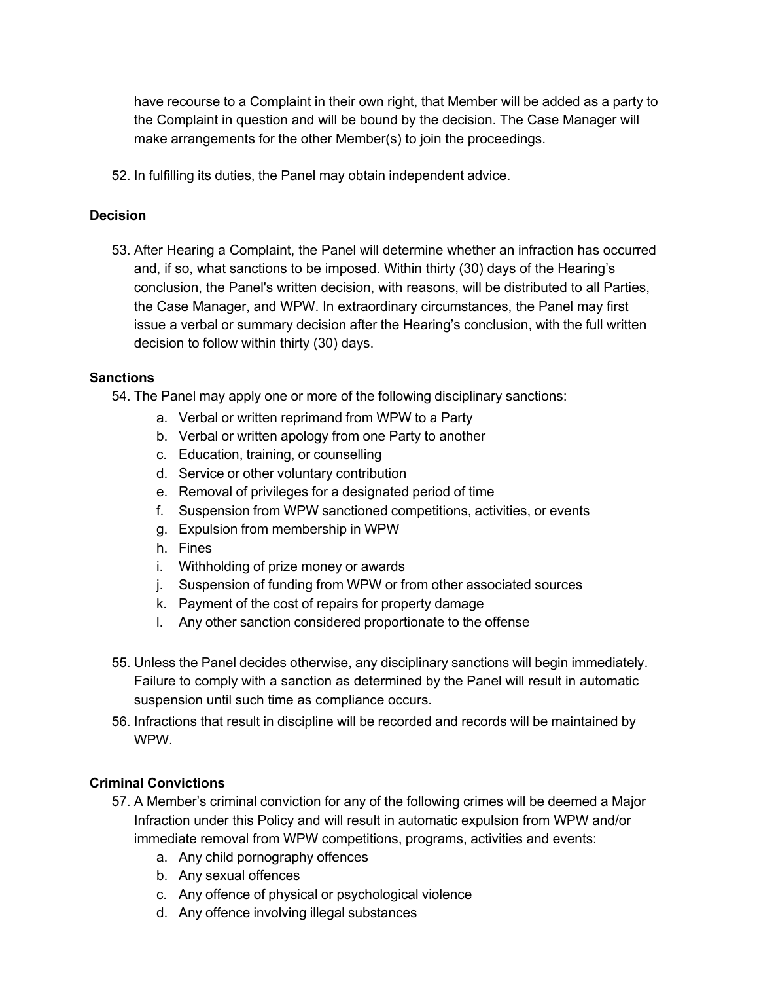have recourse to a Complaint in their own right, that Member will be added as a party to the Complaint in question and will be bound by the decision. The Case Manager will make arrangements for the other Member(s) to join the proceedings.

52. In fulfilling its duties, the Panel may obtain independent advice.

#### **Decision**

53. After Hearing a Complaint, the Panel will determine whether an infraction has occurred and, if so, what sanctions to be imposed. Within thirty (30) days of the Hearing's conclusion, the Panel's written decision, with reasons, will be distributed to all Parties, the Case Manager, and WPW. In extraordinary circumstances, the Panel may first issue a verbal or summary decision after the Hearing's conclusion, with the full written decision to follow within thirty (30) days.

#### **Sanctions**

54. The Panel may apply one or more of the following disciplinary sanctions:

- a. Verbal or written reprimand from WPW to a Party
- b. Verbal or written apology from one Party to another
- c. Education, training, or counselling
- d. Service or other voluntary contribution
- e. Removal of privileges for a designated period of time
- f. Suspension from WPW sanctioned competitions, activities, or events
- g. Expulsion from membership in WPW
- h. Fines
- i. Withholding of prize money or awards
- j. Suspension of funding from WPW or from other associated sources
- k. Payment of the cost of repairs for property damage
- l. Any other sanction considered proportionate to the offense
- 55. Unless the Panel decides otherwise, any disciplinary sanctions will begin immediately. Failure to comply with a sanction as determined by the Panel will result in automatic suspension until such time as compliance occurs.
- 56. Infractions that result in discipline will be recorded and records will be maintained by WPW.

#### **Criminal Convictions**

- 57. A Member's criminal conviction for any of the following crimes will be deemed a Major Infraction under this Policy and will result in automatic expulsion from WPW and/or immediate removal from WPW competitions, programs, activities and events:
	- a. Any child pornography offences
	- b. Any sexual offences
	- c. Any offence of physical or psychological violence
	- d. Any offence involving illegal substances